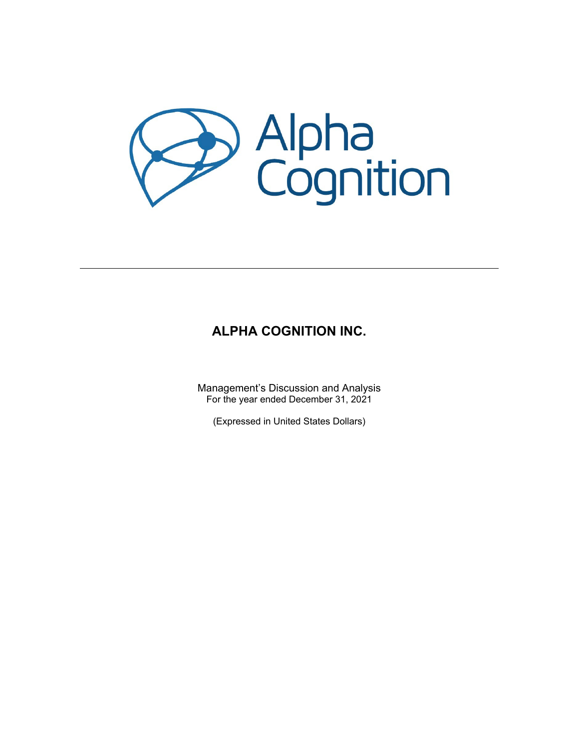

# **ALPHA COGNITION INC.**

Management's Discussion and Analysis For the year ended December 31, 2021

(Expressed in United States Dollars)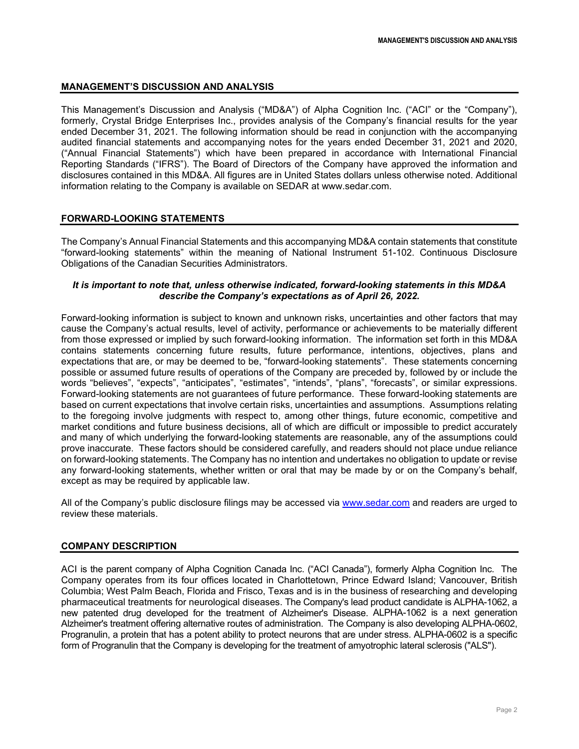### **MANAGEMENT'S DISCUSSION AND ANALYSIS**

This Management's Discussion and Analysis ("MD&A") of Alpha Cognition Inc. ("ACI" or the "Company"), formerly, Crystal Bridge Enterprises Inc., provides analysis of the Company's financial results for the year ended December 31, 2021. The following information should be read in conjunction with the accompanying audited financial statements and accompanying notes for the years ended December 31, 2021 and 2020, ("Annual Financial Statements") which have been prepared in accordance with International Financial Reporting Standards ("IFRS"). The Board of Directors of the Company have approved the information and disclosures contained in this MD&A. All figures are in United States dollars unless otherwise noted. Additional information relating to the Company is available on SEDAR at www.sedar.com.

### **FORWARD-LOOKING STATEMENTS**

The Company's Annual Financial Statements and this accompanying MD&A contain statements that constitute "forward-looking statements" within the meaning of National Instrument 51-102. Continuous Disclosure Obligations of the Canadian Securities Administrators.

### *It is important to note that, unless otherwise indicated, forward-looking statements in this MD&A describe the Company's expectations as of April 26, 2022.*

Forward-looking information is subject to known and unknown risks, uncertainties and other factors that may cause the Company's actual results, level of activity, performance or achievements to be materially different from those expressed or implied by such forward-looking information. The information set forth in this MD&A contains statements concerning future results, future performance, intentions, objectives, plans and expectations that are, or may be deemed to be, "forward-looking statements". These statements concerning possible or assumed future results of operations of the Company are preceded by, followed by or include the words "believes", "expects", "anticipates", "estimates", "intends", "plans", "forecasts", or similar expressions. Forward-looking statements are not guarantees of future performance. These forward-looking statements are based on current expectations that involve certain risks, uncertainties and assumptions. Assumptions relating to the foregoing involve judgments with respect to, among other things, future economic, competitive and market conditions and future business decisions, all of which are difficult or impossible to predict accurately and many of which underlying the forward-looking statements are reasonable, any of the assumptions could prove inaccurate. These factors should be considered carefully, and readers should not place undue reliance on forward-looking statements. The Company has no intention and undertakes no obligation to update or revise any forward-looking statements, whether written or oral that may be made by or on the Company's behalf, except as may be required by applicable law.

All of the Company's public disclosure filings may be accessed via [www.sedar.com](http://www.sedar.com/) and readers are urged to review these materials.

### **COMPANY DESCRIPTION**

ACI is the parent company of Alpha Cognition Canada Inc. ("ACI Canada"), formerly Alpha Cognition Inc. The Company operates from its four offices located in Charlottetown, Prince Edward Island; Vancouver, British Columbia; West Palm Beach, Florida and Frisco, Texas and is in the business of researching and developing pharmaceutical treatments for neurological diseases. The Company's lead product candidate is ALPHA-1062, a new patented drug developed for the treatment of Alzheimer's Disease. ALPHA-1062 is a next generation Alzheimer's treatment offering alternative routes of administration. The Company is also developing ALPHA-0602, Progranulin, a protein that has a potent ability to protect neurons that are under stress. ALPHA-0602 is a specific form of Progranulin that the Company is developing for the treatment of amyotrophic lateral sclerosis ("ALS").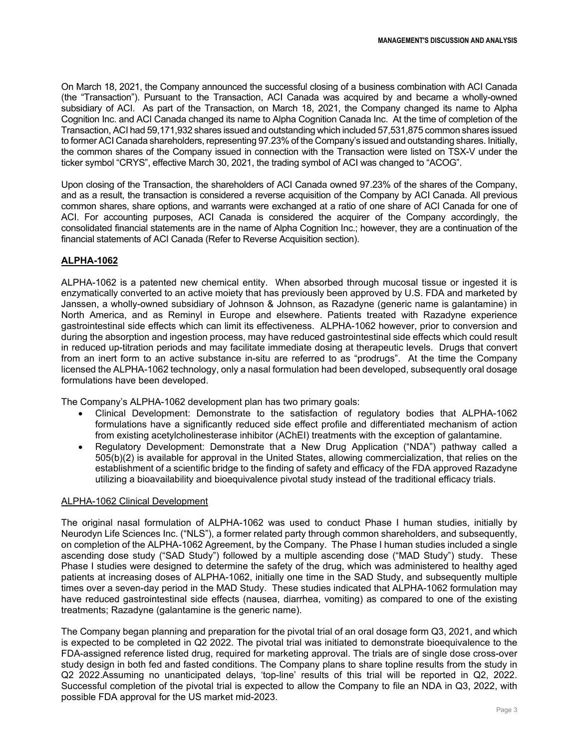On March 18, 2021, the Company announced the successful closing of a business combination with ACI Canada (the "Transaction"). Pursuant to the Transaction, ACI Canada was acquired by and became a wholly-owned subsidiary of ACI. As part of the Transaction, on March 18, 2021, the Company changed its name to Alpha Cognition Inc. and ACI Canada changed its name to Alpha Cognition Canada Inc. At the time of completion of the Transaction, ACI had 59,171,932 shares issued and outstanding which included 57,531,875 common shares issued to former ACI Canada shareholders, representing 97.23% of the Company's issued and outstanding shares. Initially, the common shares of the Company issued in connection with the Transaction were listed on TSX-V under the ticker symbol "CRYS", effective March 30, 2021, the trading symbol of ACI was changed to "ACOG".

Upon closing of the Transaction, the shareholders of ACI Canada owned 97.23% of the shares of the Company, and as a result, the transaction is considered a reverse acquisition of the Company by ACI Canada. All previous common shares, share options, and warrants were exchanged at a ratio of one share of ACI Canada for one of ACI. For accounting purposes, ACI Canada is considered the acquirer of the Company accordingly, the consolidated financial statements are in the name of Alpha Cognition Inc.; however, they are a continuation of the financial statements of ACI Canada (Refer to Reverse Acquisition section).

# **ALPHA-1062**

ALPHA-1062 is a patented new chemical entity. When absorbed through mucosal tissue or ingested it is enzymatically converted to an active moiety that has previously been approved by U.S. FDA and marketed by Janssen, a wholly-owned subsidiary of Johnson & Johnson, as Razadyne (generic name is galantamine) in North America, and as Reminyl in Europe and elsewhere. Patients treated with Razadyne experience gastrointestinal side effects which can limit its effectiveness. ALPHA-1062 however, prior to conversion and during the absorption and ingestion process, may have reduced gastrointestinal side effects which could result in reduced up-titration periods and may facilitate immediate dosing at therapeutic levels. Drugs that convert from an inert form to an active substance in-situ are referred to as "prodrugs". At the time the Company licensed the ALPHA-1062 technology, only a nasal formulation had been developed, subsequently oral dosage formulations have been developed.

The Company's ALPHA-1062 development plan has two primary goals:

- Clinical Development: Demonstrate to the satisfaction of regulatory bodies that ALPHA-1062 formulations have a significantly reduced side effect profile and differentiated mechanism of action from existing acetylcholinesterase inhibitor (AChEI) treatments with the exception of galantamine.
- Regulatory Development: Demonstrate that a New Drug Application ("NDA") pathway called a 505(b)(2) is available for approval in the United States, allowing commercialization, that relies on the establishment of a scientific bridge to the finding of safety and efficacy of the FDA approved Razadyne utilizing a bioavailability and bioequivalence pivotal study instead of the traditional efficacy trials.

### ALPHA-1062 Clinical Development

The original nasal formulation of ALPHA-1062 was used to conduct Phase I human studies, initially by Neurodyn Life Sciences Inc. ("NLS"), a former related party through common shareholders, and subsequently, on completion of the ALPHA-1062 Agreement, by the Company. The Phase I human studies included a single ascending dose study ("SAD Study") followed by a multiple ascending dose ("MAD Study") study. These Phase I studies were designed to determine the safety of the drug, which was administered to healthy aged patients at increasing doses of ALPHA-1062, initially one time in the SAD Study, and subsequently multiple times over a seven-day period in the MAD Study. These studies indicated that ALPHA-1062 formulation may have reduced gastrointestinal side effects (nausea, diarrhea, vomiting) as compared to one of the existing treatments; Razadyne (galantamine is the generic name).

The Company began planning and preparation for the pivotal trial of an oral dosage form Q3, 2021, and which is expected to be completed in Q2 2022. The pivotal trial was initiated to demonstrate bioequivalence to the FDA-assigned reference listed drug, required for marketing approval. The trials are of single dose cross-over study design in both fed and fasted conditions. The Company plans to share topline results from the study in Q2 2022.Assuming no unanticipated delays, 'top-line' results of this trial will be reported in Q2, 2022. Successful completion of the pivotal trial is expected to allow the Company to file an NDA in Q3, 2022, with possible FDA approval for the US market mid-2023.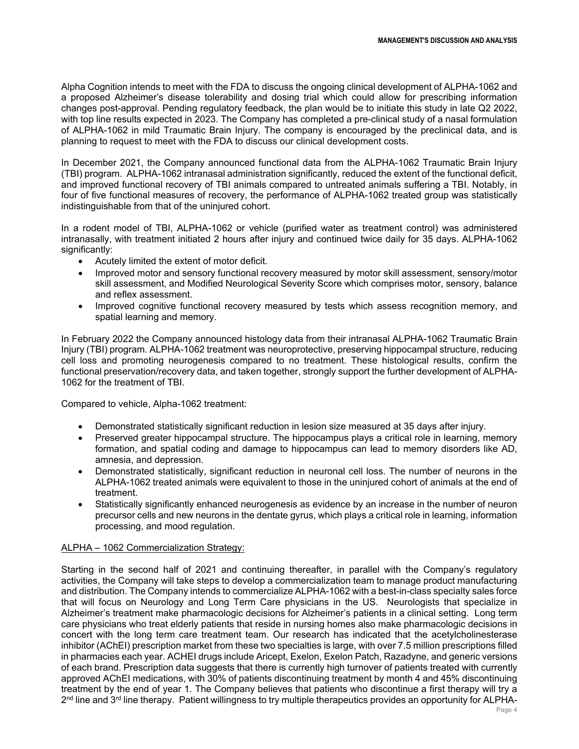Alpha Cognition intends to meet with the FDA to discuss the ongoing clinical development of ALPHA-1062 and a proposed Alzheimer's disease tolerability and dosing trial which could allow for prescribing information changes post-approval. Pending regulatory feedback, the plan would be to initiate this study in late Q2 2022, with top line results expected in 2023. The Company has completed a pre-clinical study of a nasal formulation of ALPHA-1062 in mild Traumatic Brain Injury. The company is encouraged by the preclinical data, and is planning to request to meet with the FDA to discuss our clinical development costs.

In December 2021, the Company announced functional data from the ALPHA-1062 Traumatic Brain Injury (TBI) program. ALPHA-1062 intranasal administration significantly, reduced the extent of the functional deficit, and improved functional recovery of TBI animals compared to untreated animals suffering a TBI. Notably, in four of five functional measures of recovery, the performance of ALPHA-1062 treated group was statistically indistinguishable from that of the uninjured cohort.

In a rodent model of TBI, ALPHA-1062 or vehicle (purified water as treatment control) was administered intranasally, with treatment initiated 2 hours after injury and continued twice daily for 35 days. ALPHA-1062 significantly:

- Acutely limited the extent of motor deficit.
- Improved motor and sensory functional recovery measured by motor skill assessment, sensory/motor skill assessment, and Modified Neurological Severity Score which comprises motor, sensory, balance and reflex assessment.
- Improved cognitive functional recovery measured by tests which assess recognition memory, and spatial learning and memory.

In February 2022 the Company announced histology data from their intranasal ALPHA-1062 Traumatic Brain Injury (TBI) program. ALPHA-1062 treatment was neuroprotective, preserving hippocampal structure, reducing cell loss and promoting neurogenesis compared to no treatment. These histological results, confirm the functional preservation/recovery data, and taken together, strongly support the further development of ALPHA-1062 for the treatment of TBI.

Compared to vehicle, Alpha-1062 treatment:

- Demonstrated statistically significant reduction in lesion size measured at 35 days after injury.
- Preserved greater hippocampal structure. The hippocampus plays a critical role in learning, memory formation, and spatial coding and damage to hippocampus can lead to memory disorders like AD, amnesia, and depression.
- Demonstrated statistically, significant reduction in neuronal cell loss. The number of neurons in the ALPHA-1062 treated animals were equivalent to those in the uninjured cohort of animals at the end of treatment.
- Statistically significantly enhanced neurogenesis as evidence by an increase in the number of neuron precursor cells and new neurons in the dentate gyrus, which plays a critical role in learning, information processing, and mood regulation.

### ALPHA – 1062 Commercialization Strategy:

Starting in the second half of 2021 and continuing thereafter, in parallel with the Company's regulatory activities, the Company will take steps to develop a commercialization team to manage product manufacturing and distribution. The Company intends to commercialize ALPHA-1062 with a best-in-class specialty sales force that will focus on Neurology and Long Term Care physicians in the US. Neurologists that specialize in Alzheimer's treatment make pharmacologic decisions for Alzheimer's patients in a clinical setting. Long term care physicians who treat elderly patients that reside in nursing homes also make pharmacologic decisions in concert with the long term care treatment team. Our research has indicated that the acetylcholinesterase inhibitor (AChEI) prescription market from these two specialties is large, with over 7.5 million prescriptions filled in pharmacies each year. ACHEI drugs include Aricept, Exelon, Exelon Patch, Razadyne, and generic versions of each brand. Prescription data suggests that there is currently high turnover of patients treated with currently approved AChEI medications, with 30% of patients discontinuing treatment by month 4 and 45% discontinuing treatment by the end of year 1. The Company believes that patients who discontinue a first therapy will try a 2<sup>nd</sup> line and 3<sup>rd</sup> line therapy. Patient willingness to try multiple therapeutics provides an opportunity for ALPHA-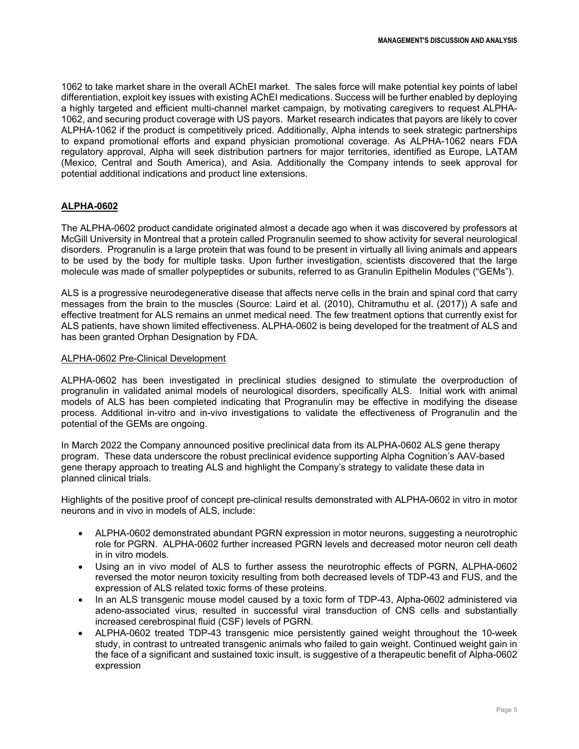1062 to take market share in the overall AChEI market. The sales force will make potential key points of label differentiation, exploit key issues with existing AChEI medications. Success will be further enabled by deploying a highly targeted and efficient multi-channel market campaign, by motivating caregivers to request ALPHA-1062, and securing product coverage with US payors. Market research indicates that payors are likely to cover ALPHA-1062 if the product is competitively priced. Additionally, Alpha intends to seek strategic partnerships to expand promotional efforts and expand physician promotional coverage. As ALPHA-1062 nears FDA regulatory approval, Alpha will seek distribution partners for major territories, identified as Europe, LATAM (Mexico, Central and South America), and Asia. Additionally the Company intends to seek approval for potential additional indications and product line extensions.

# **ALPHA-0602**

The ALPHA-0602 product candidate originated almost a decade ago when it was discovered by professors at McGill University in Montreal that a protein called Progranulin seemed to show activity for several neurological disorders. Progranulin is a large protein that was found to be present in virtually all living animals and appears to be used by the body for multiple tasks. Upon further investigation, scientists discovered that the large molecule was made of smaller polypeptides or subunits, referred to as Granulin Epithelin Modules ("GEMs").

ALS is a progressive neurodegenerative disease that affects nerve cells in the brain and spinal cord that carry messages from the brain to the muscles (Source: Laird et al. (2010), Chitramuthu et al. (2017)) A safe and effective treatment for ALS remains an unmet medical need. The few treatment options that currently exist for ALS patients, have shown limited effectiveness. ALPHA-0602 is being developed for the treatment of ALS and has been granted Orphan Designation by FDA.

### ALPHA-0602 Pre-Clinical Development

ALPHA-0602 has been investigated in preclinical studies designed to stimulate the overproduction of progranulin in validated animal models of neurological disorders, specifically ALS. Initial work with animal models of ALS has been completed indicating that Progranulin may be effective in modifying the disease process. Additional in-vitro and in-vivo investigations to validate the effectiveness of Progranulin and the potential of the GEMs are ongoing.

In March 2022 the Company announced positive preclinical data from its ALPHA-0602 ALS gene therapy program. These data underscore the robust preclinical evidence supporting Alpha Cognition's AAV-based gene therapy approach to treating ALS and highlight the Company's strategy to validate these data in planned clinical trials.

Highlights of the positive proof of concept pre-clinical results demonstrated with ALPHA-0602 in vitro in motor neurons and in vivo in models of ALS, include:

- ALPHA-0602 demonstrated abundant PGRN expression in motor neurons, suggesting a neurotrophic role for PGRN. ALPHA-0602 further increased PGRN levels and decreased motor neuron cell death in in vitro models.
- Using an in vivo model of ALS to further assess the neurotrophic effects of PGRN, ALPHA-0602 reversed the motor neuron toxicity resulting from both decreased levels of TDP-43 and FUS, and the expression of ALS related toxic forms of these proteins.
- In an ALS transgenic mouse model caused by a toxic form of TDP-43, Alpha-0602 administered via adeno-associated virus, resulted in successful viral transduction of CNS cells and substantially increased cerebrospinal fluid (CSF) levels of PGRN.
- ALPHA-0602 treated TDP-43 transgenic mice persistently gained weight throughout the 10-week study, in contrast to untreated transgenic animals who failed to gain weight. Continued weight gain in the face of a significant and sustained toxic insult, is suggestive of a therapeutic benefit of Alpha-0602 expression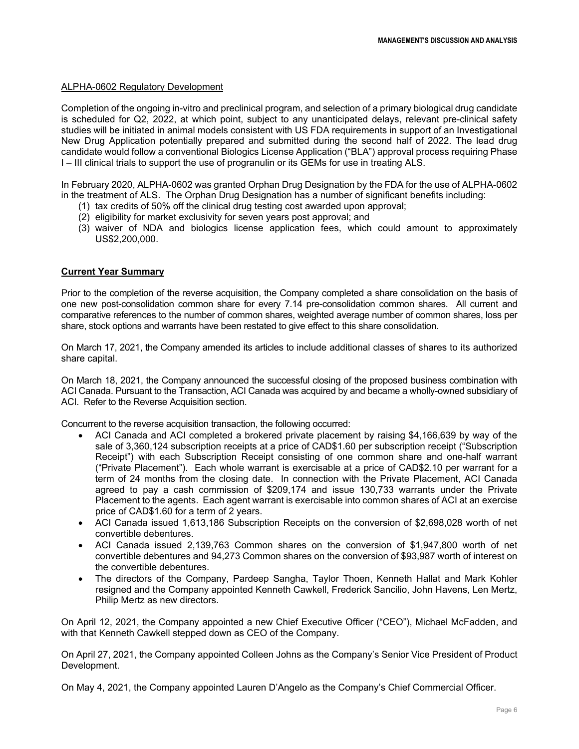#### ALPHA-0602 Regulatory Development

Completion of the ongoing in-vitro and preclinical program, and selection of a primary biological drug candidate is scheduled for Q2, 2022, at which point, subject to any unanticipated delays, relevant pre-clinical safety studies will be initiated in animal models consistent with US FDA requirements in support of an Investigational New Drug Application potentially prepared and submitted during the second half of 2022. The lead drug candidate would follow a conventional Biologics License Application ("BLA") approval process requiring Phase I – III clinical trials to support the use of progranulin or its GEMs for use in treating ALS.

In February 2020, ALPHA-0602 was granted Orphan Drug Designation by the FDA for the use of ALPHA-0602 in the treatment of ALS. The Orphan Drug Designation has a number of significant benefits including:

- (1) tax credits of 50% off the clinical drug testing cost awarded upon approval;
- (2) eligibility for market exclusivity for seven years post approval; and
- (3) waiver of NDA and biologics license application fees, which could amount to approximately US\$2,200,000.

#### **Current Year Summary**

Prior to the completion of the reverse acquisition, the Company completed a share consolidation on the basis of one new post-consolidation common share for every 7.14 pre-consolidation common shares. All current and comparative references to the number of common shares, weighted average number of common shares, loss per share, stock options and warrants have been restated to give effect to this share consolidation.

On March 17, 2021, the Company amended its articles to include additional classes of shares to its authorized share capital.

On March 18, 2021, the Company announced the successful closing of the proposed business combination with ACI Canada. Pursuant to the Transaction, ACI Canada was acquired by and became a wholly-owned subsidiary of ACI. Refer to the Reverse Acquisition section.

Concurrent to the reverse acquisition transaction, the following occurred:

- ACI Canada and ACI completed a brokered private placement by raising \$4,166,639 by way of the sale of 3,360,124 subscription receipts at a price of CAD\$1.60 per subscription receipt ("Subscription Receipt") with each Subscription Receipt consisting of one common share and one-half warrant ("Private Placement"). Each whole warrant is exercisable at a price of CAD\$2.10 per warrant for a term of 24 months from the closing date. In connection with the Private Placement, ACI Canada agreed to pay a cash commission of \$209,174 and issue 130,733 warrants under the Private Placement to the agents. Each agent warrant is exercisable into common shares of ACI at an exercise price of CAD\$1.60 for a term of 2 years.
- ACI Canada issued 1,613,186 Subscription Receipts on the conversion of \$2,698,028 worth of net convertible debentures.
- ACI Canada issued 2,139,763 Common shares on the conversion of \$1,947,800 worth of net convertible debentures and 94,273 Common shares on the conversion of \$93,987 worth of interest on the convertible debentures.
- The directors of the Company, Pardeep Sangha, Taylor Thoen, Kenneth Hallat and Mark Kohler resigned and the Company appointed Kenneth Cawkell, Frederick Sancilio, John Havens, Len Mertz, Philip Mertz as new directors.

On April 12, 2021, the Company appointed a new Chief Executive Officer ("CEO"), Michael McFadden, and with that Kenneth Cawkell stepped down as CEO of the Company.

On April 27, 2021, the Company appointed Colleen Johns as the Company's Senior Vice President of Product Development.

On May 4, 2021, the Company appointed Lauren D'Angelo as the Company's Chief Commercial Officer.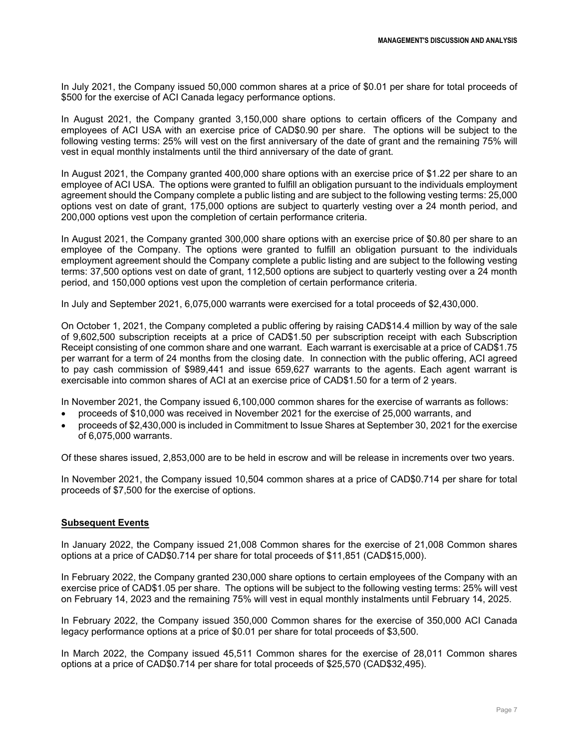In July 2021, the Company issued 50,000 common shares at a price of \$0.01 per share for total proceeds of \$500 for the exercise of ACI Canada legacy performance options.

In August 2021, the Company granted 3,150,000 share options to certain officers of the Company and employees of ACI USA with an exercise price of CAD\$0.90 per share. The options will be subject to the following vesting terms: 25% will vest on the first anniversary of the date of grant and the remaining 75% will vest in equal monthly instalments until the third anniversary of the date of grant.

In August 2021, the Company granted 400,000 share options with an exercise price of \$1.22 per share to an employee of ACI USA. The options were granted to fulfill an obligation pursuant to the individuals employment agreement should the Company complete a public listing and are subject to the following vesting terms: 25,000 options vest on date of grant, 175,000 options are subject to quarterly vesting over a 24 month period, and 200,000 options vest upon the completion of certain performance criteria.

In August 2021, the Company granted 300,000 share options with an exercise price of \$0.80 per share to an employee of the Company. The options were granted to fulfill an obligation pursuant to the individuals employment agreement should the Company complete a public listing and are subject to the following vesting terms: 37,500 options vest on date of grant, 112,500 options are subject to quarterly vesting over a 24 month period, and 150,000 options vest upon the completion of certain performance criteria.

In July and September 2021, 6,075,000 warrants were exercised for a total proceeds of \$2,430,000.

On October 1, 2021, the Company completed a public offering by raising CAD\$14.4 million by way of the sale of 9,602,500 subscription receipts at a price of CAD\$1.50 per subscription receipt with each Subscription Receipt consisting of one common share and one warrant. Each warrant is exercisable at a price of CAD\$1.75 per warrant for a term of 24 months from the closing date. In connection with the public offering, ACI agreed to pay cash commission of \$989,441 and issue 659,627 warrants to the agents. Each agent warrant is exercisable into common shares of ACI at an exercise price of CAD\$1.50 for a term of 2 years.

In November 2021, the Company issued 6,100,000 common shares for the exercise of warrants as follows:

- proceeds of \$10,000 was received in November 2021 for the exercise of 25,000 warrants, and
- proceeds of \$2,430,000 is included in Commitment to Issue Shares at September 30, 2021 for the exercise of 6,075,000 warrants.

Of these shares issued, 2,853,000 are to be held in escrow and will be release in increments over two years.

In November 2021, the Company issued 10,504 common shares at a price of CAD\$0.714 per share for total proceeds of \$7,500 for the exercise of options.

#### **Subsequent Events**

In January 2022, the Company issued 21,008 Common shares for the exercise of 21,008 Common shares options at a price of CAD\$0.714 per share for total proceeds of \$11,851 (CAD\$15,000).

In February 2022, the Company granted 230,000 share options to certain employees of the Company with an exercise price of CAD\$1.05 per share. The options will be subject to the following vesting terms: 25% will vest on February 14, 2023 and the remaining 75% will vest in equal monthly instalments until February 14, 2025.

In February 2022, the Company issued 350,000 Common shares for the exercise of 350,000 ACI Canada legacy performance options at a price of \$0.01 per share for total proceeds of \$3,500.

In March 2022, the Company issued 45,511 Common shares for the exercise of 28,011 Common shares options at a price of CAD\$0.714 per share for total proceeds of \$25,570 (CAD\$32,495).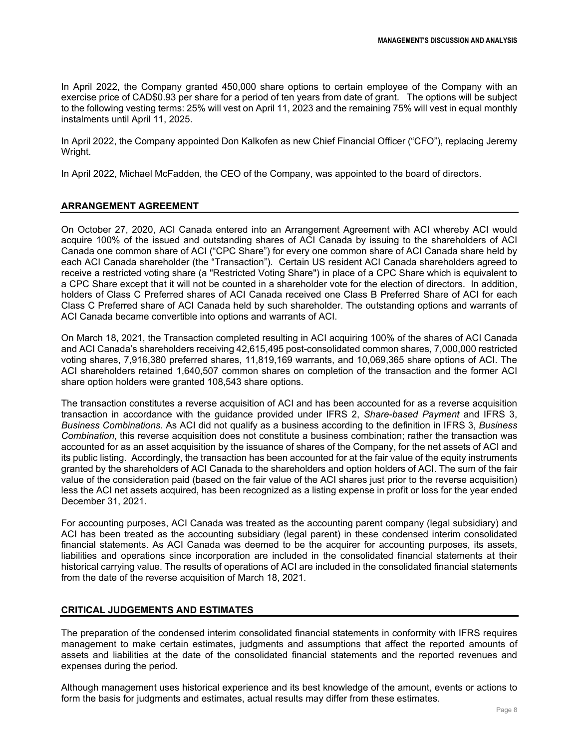In April 2022, the Company granted 450,000 share options to certain employee of the Company with an exercise price of CAD\$0.93 per share for a period of ten years from date of grant. The options will be subject to the following vesting terms: 25% will vest on April 11, 2023 and the remaining 75% will vest in equal monthly instalments until April 11, 2025.

In April 2022, the Company appointed Don Kalkofen as new Chief Financial Officer ("CFO"), replacing Jeremy Wright.

In April 2022, Michael McFadden, the CEO of the Company, was appointed to the board of directors.

### **ARRANGEMENT AGREEMENT**

On October 27, 2020, ACI Canada entered into an Arrangement Agreement with ACI whereby ACI would acquire 100% of the issued and outstanding shares of ACI Canada by issuing to the shareholders of ACI Canada one common share of ACI ("CPC Share") for every one common share of ACI Canada share held by each ACI Canada shareholder (the "Transaction"). Certain US resident ACI Canada shareholders agreed to receive a restricted voting share (a "Restricted Voting Share") in place of a CPC Share which is equivalent to a CPC Share except that it will not be counted in a shareholder vote for the election of directors. In addition, holders of Class C Preferred shares of ACI Canada received one Class B Preferred Share of ACI for each Class C Preferred share of ACI Canada held by such shareholder. The outstanding options and warrants of ACI Canada became convertible into options and warrants of ACI.

On March 18, 2021, the Transaction completed resulting in ACI acquiring 100% of the shares of ACI Canada and ACI Canada's shareholders receiving 42,615,495 post-consolidated common shares, 7,000,000 restricted voting shares, 7,916,380 preferred shares, 11,819,169 warrants, and 10,069,365 share options of ACI. The ACI shareholders retained 1,640,507 common shares on completion of the transaction and the former ACI share option holders were granted 108,543 share options.

The transaction constitutes a reverse acquisition of ACI and has been accounted for as a reverse acquisition transaction in accordance with the guidance provided under IFRS 2, *Share-based Payment* and IFRS 3, *Business Combinations*. As ACI did not qualify as a business according to the definition in IFRS 3, *Business Combination*, this reverse acquisition does not constitute a business combination; rather the transaction was accounted for as an asset acquisition by the issuance of shares of the Company, for the net assets of ACI and its public listing. Accordingly, the transaction has been accounted for at the fair value of the equity instruments granted by the shareholders of ACI Canada to the shareholders and option holders of ACI. The sum of the fair value of the consideration paid (based on the fair value of the ACI shares just prior to the reverse acquisition) less the ACI net assets acquired, has been recognized as a listing expense in profit or loss for the year ended December 31, 2021.

For accounting purposes, ACI Canada was treated as the accounting parent company (legal subsidiary) and ACI has been treated as the accounting subsidiary (legal parent) in these condensed interim consolidated financial statements. As ACI Canada was deemed to be the acquirer for accounting purposes, its assets, liabilities and operations since incorporation are included in the consolidated financial statements at their historical carrying value. The results of operations of ACI are included in the consolidated financial statements from the date of the reverse acquisition of March 18, 2021.

### **CRITICAL JUDGEMENTS AND ESTIMATES**

The preparation of the condensed interim consolidated financial statements in conformity with IFRS requires management to make certain estimates, judgments and assumptions that affect the reported amounts of assets and liabilities at the date of the consolidated financial statements and the reported revenues and expenses during the period.

Although management uses historical experience and its best knowledge of the amount, events or actions to form the basis for judgments and estimates, actual results may differ from these estimates.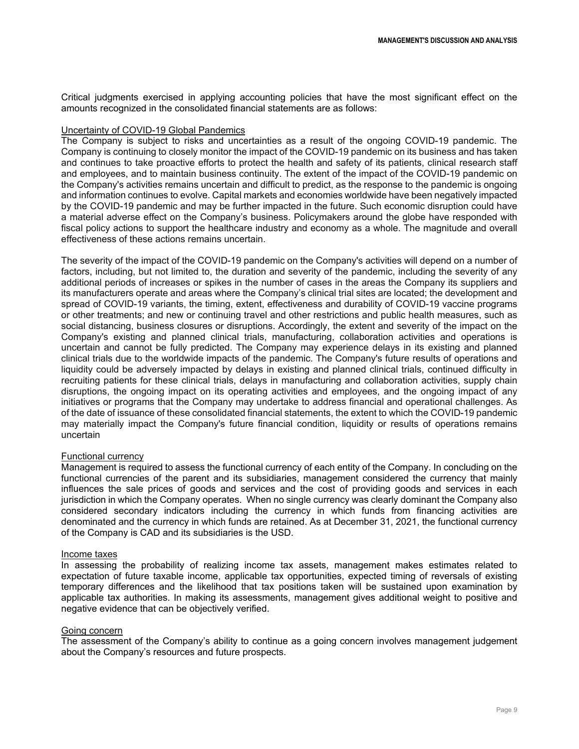Critical judgments exercised in applying accounting policies that have the most significant effect on the amounts recognized in the consolidated financial statements are as follows:

#### Uncertainty of COVID-19 Global Pandemics

The Company is subject to risks and uncertainties as a result of the ongoing COVID-19 pandemic. The Company is continuing to closely monitor the impact of the COVID-19 pandemic on its business and has taken and continues to take proactive efforts to protect the health and safety of its patients, clinical research staff and employees, and to maintain business continuity. The extent of the impact of the COVID-19 pandemic on the Company's activities remains uncertain and difficult to predict, as the response to the pandemic is ongoing and information continues to evolve. Capital markets and economies worldwide have been negatively impacted by the COVID-19 pandemic and may be further impacted in the future. Such economic disruption could have a material adverse effect on the Company's business. Policymakers around the globe have responded with fiscal policy actions to support the healthcare industry and economy as a whole. The magnitude and overall effectiveness of these actions remains uncertain.

The severity of the impact of the COVID-19 pandemic on the Company's activities will depend on a number of factors, including, but not limited to, the duration and severity of the pandemic, including the severity of any additional periods of increases or spikes in the number of cases in the areas the Company its suppliers and its manufacturers operate and areas where the Company's clinical trial sites are located; the development and spread of COVID-19 variants, the timing, extent, effectiveness and durability of COVID-19 vaccine programs or other treatments; and new or continuing travel and other restrictions and public health measures, such as social distancing, business closures or disruptions. Accordingly, the extent and severity of the impact on the Company's existing and planned clinical trials, manufacturing, collaboration activities and operations is uncertain and cannot be fully predicted. The Company may experience delays in its existing and planned clinical trials due to the worldwide impacts of the pandemic. The Company's future results of operations and liquidity could be adversely impacted by delays in existing and planned clinical trials, continued difficulty in recruiting patients for these clinical trials, delays in manufacturing and collaboration activities, supply chain disruptions, the ongoing impact on its operating activities and employees, and the ongoing impact of any initiatives or programs that the Company may undertake to address financial and operational challenges. As of the date of issuance of these consolidated financial statements, the extent to which the COVID-19 pandemic may materially impact the Company's future financial condition, liquidity or results of operations remains uncertain

#### Functional currency

Management is required to assess the functional currency of each entity of the Company. In concluding on the functional currencies of the parent and its subsidiaries, management considered the currency that mainly influences the sale prices of goods and services and the cost of providing goods and services in each jurisdiction in which the Company operates. When no single currency was clearly dominant the Company also considered secondary indicators including the currency in which funds from financing activities are denominated and the currency in which funds are retained. As at December 31, 2021, the functional currency of the Company is CAD and its subsidiaries is the USD.

#### Income taxes

In assessing the probability of realizing income tax assets, management makes estimates related to expectation of future taxable income, applicable tax opportunities, expected timing of reversals of existing temporary differences and the likelihood that tax positions taken will be sustained upon examination by applicable tax authorities. In making its assessments, management gives additional weight to positive and negative evidence that can be objectively verified.

#### Going concern

The assessment of the Company's ability to continue as a going concern involves management judgement about the Company's resources and future prospects.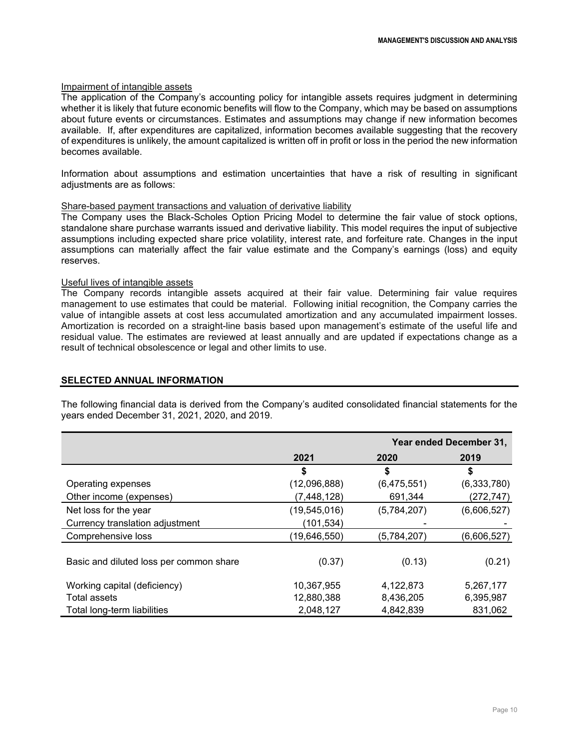#### Impairment of intangible assets

The application of the Company's accounting policy for intangible assets requires judgment in determining whether it is likely that future economic benefits will flow to the Company, which may be based on assumptions about future events or circumstances. Estimates and assumptions may change if new information becomes available. If, after expenditures are capitalized, information becomes available suggesting that the recovery of expenditures is unlikely, the amount capitalized is written off in profit or loss in the period the new information becomes available.

Information about assumptions and estimation uncertainties that have a risk of resulting in significant adiustments are as follows:

#### Share-based payment transactions and valuation of derivative liability

The Company uses the Black-Scholes Option Pricing Model to determine the fair value of stock options, standalone share purchase warrants issued and derivative liability. This model requires the input of subjective assumptions including expected share price volatility, interest rate, and forfeiture rate. Changes in the input assumptions can materially affect the fair value estimate and the Company's earnings (loss) and equity reserves.

#### Useful lives of intangible assets

The Company records intangible assets acquired at their fair value. Determining fair value requires management to use estimates that could be material. Following initial recognition, the Company carries the value of intangible assets at cost less accumulated amortization and any accumulated impairment losses. Amortization is recorded on a straight-line basis based upon management's estimate of the useful life and residual value. The estimates are reviewed at least annually and are updated if expectations change as a result of technical obsolescence or legal and other limits to use.

#### **SELECTED ANNUAL INFORMATION**

The following financial data is derived from the Company's audited consolidated financial statements for the years ended December 31, 2021, 2020, and 2019.

|                                         |                |             | Year ended December 31, |
|-----------------------------------------|----------------|-------------|-------------------------|
|                                         | 2021           | 2020        | 2019                    |
|                                         | \$             | \$          | \$                      |
| Operating expenses                      | (12,096,888)   | (6,475,551) | (6,333,780)             |
| Other income (expenses)                 | (7, 448, 128)  | 691,344     | (272, 747)              |
| Net loss for the year                   | (19, 545, 016) | (5,784,207) | (6,606,527)             |
| Currency translation adjustment         | (101, 534)     |             |                         |
| Comprehensive loss                      | (19,646,550)   | (5,784,207) | (6,606,527)             |
| Basic and diluted loss per common share | (0.37)         | (0.13)      | (0.21)                  |
| Working capital (deficiency)            | 10,367,955     | 4,122,873   | 5,267,177               |
| Total assets                            | 12,880,388     | 8,436,205   | 6,395,987               |
| Total long-term liabilities             | 2,048,127      | 4,842,839   | 831,062                 |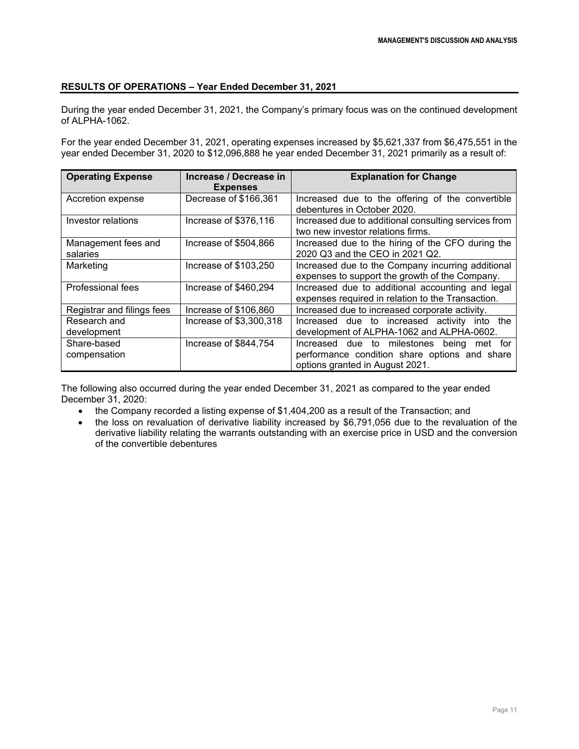# **RESULTS OF OPERATIONS – Year Ended December 31, 2021**

During the year ended December 31, 2021, the Company's primary focus was on the continued development of ALPHA-1062.

For the year ended December 31, 2021, operating expenses increased by \$5,621,337 from \$6,475,551 in the year ended December 31, 2020 to \$12,096,888 he year ended December 31, 2021 primarily as a result of:

| <b>Operating Expense</b>        | Increase / Decrease in<br><b>Expenses</b> | <b>Explanation for Change</b>                                                                                                 |
|---------------------------------|-------------------------------------------|-------------------------------------------------------------------------------------------------------------------------------|
| Accretion expense               | Decrease of \$166,361                     | Increased due to the offering of the convertible<br>debentures in October 2020.                                               |
| Investor relations              | Increase of \$376,116                     | Increased due to additional consulting services from<br>two new investor relations firms.                                     |
| Management fees and<br>salaries | Increase of \$504,866                     | Increased due to the hiring of the CFO during the<br>2020 Q3 and the CEO in 2021 Q2.                                          |
| Marketing                       | Increase of \$103,250                     | Increased due to the Company incurring additional<br>expenses to support the growth of the Company.                           |
| <b>Professional fees</b>        | Increase of \$460,294                     | Increased due to additional accounting and legal<br>expenses required in relation to the Transaction.                         |
| Registrar and filings fees      | Increase of \$106,860                     | Increased due to increased corporate activity.                                                                                |
| Research and                    | Increase of \$3,300,318                   | Increased due to increased activity into the                                                                                  |
| development                     |                                           | development of ALPHA-1062 and ALPHA-0602.                                                                                     |
| Share-based<br>compensation     | Increase of \$844,754                     | Increased due to milestones being met for<br>performance condition share options and share<br>options granted in August 2021. |

The following also occurred during the year ended December 31, 2021 as compared to the year ended December 31, 2020:

- the Company recorded a listing expense of \$1,404,200 as a result of the Transaction; and
- the loss on revaluation of derivative liability increased by \$6,791,056 due to the revaluation of the derivative liability relating the warrants outstanding with an exercise price in USD and the conversion of the convertible debentures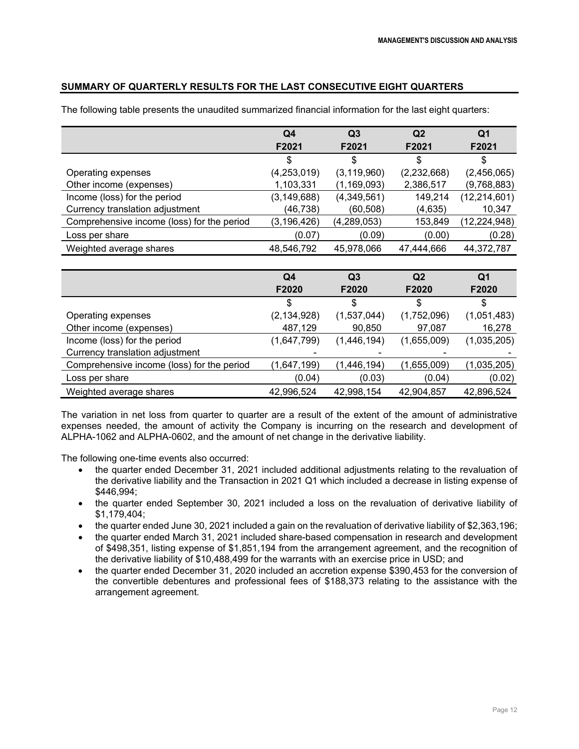# **SUMMARY OF QUARTERLY RESULTS FOR THE LAST CONSECUTIVE EIGHT QUARTERS**

|                                            | Q4            | Q <sub>3</sub> | Q <sub>2</sub> | Q1             |
|--------------------------------------------|---------------|----------------|----------------|----------------|
|                                            | F2021         | F2021          | F2021          | F2021          |
|                                            | S             | \$             | \$             | S              |
| Operating expenses                         | (4, 253, 019) | (3, 119, 960)  | (2,232,668)    | (2,456,065)    |
| Other income (expenses)                    | 1,103,331     | (1, 169, 093)  | 2,386,517      | (9,768,883)    |
| Income (loss) for the period               | (3, 149, 688) | (4,349,561)    | 149,214        | (12, 214, 601) |
| Currency translation adjustment            | (46,738)      | (60, 508)      | (4,635)        | 10,347         |
| Comprehensive income (loss) for the period | (3, 196, 426) | (4,289,053)    | 153,849        | (12, 224, 948) |
| Loss per share                             | (0.07)        | (0.09)         | (0.00)         | (0.28)         |
| Weighted average shares                    | 48,546,792    | 45,978,066     | 47,444,666     | 44,372,787     |

The following table presents the unaudited summarized financial information for the last eight quarters:

|                                            | Q4<br>F2020   | Q <sub>3</sub><br>F2020 | Q <sub>2</sub><br>F2020 | Q1<br>F2020 |
|--------------------------------------------|---------------|-------------------------|-------------------------|-------------|
|                                            | \$            | \$                      | \$                      |             |
| Operating expenses                         | (2, 134, 928) | (1,537,044)             | (1,752,096)             | (1,051,483) |
| Other income (expenses)                    | 487,129       | 90,850                  | 97,087                  | 16,278      |
| Income (loss) for the period               | (1,647,799)   | (1,446,194)             | (1,655,009)             | (1,035,205) |
| Currency translation adjustment            |               |                         |                         |             |
| Comprehensive income (loss) for the period | (1,647,199)   | (1,446,194)             | (1,655,009)             | (1,035,205) |
| Loss per share                             | (0.04)        | (0.03)                  | (0.04)                  | (0.02)      |
| Weighted average shares                    | 42,996,524    | 42,998,154              | 42,904,857              | 42,896,524  |

The variation in net loss from quarter to quarter are a result of the extent of the amount of administrative expenses needed, the amount of activity the Company is incurring on the research and development of ALPHA-1062 and ALPHA-0602, and the amount of net change in the derivative liability.

The following one-time events also occurred:

- the quarter ended December 31, 2021 included additional adjustments relating to the revaluation of the derivative liability and the Transaction in 2021 Q1 which included a decrease in listing expense of \$446,994;
- the quarter ended September 30, 2021 included a loss on the revaluation of derivative liability of \$1,179,404;
- the quarter ended June 30, 2021 included a gain on the revaluation of derivative liability of \$2,363,196;
- the quarter ended March 31, 2021 included share-based compensation in research and development of \$498,351, listing expense of \$1,851,194 from the arrangement agreement, and the recognition of the derivative liability of \$10,488,499 for the warrants with an exercise price in USD; and
- the quarter ended December 31, 2020 included an accretion expense \$390,453 for the conversion of the convertible debentures and professional fees of \$188,373 relating to the assistance with the arrangement agreement.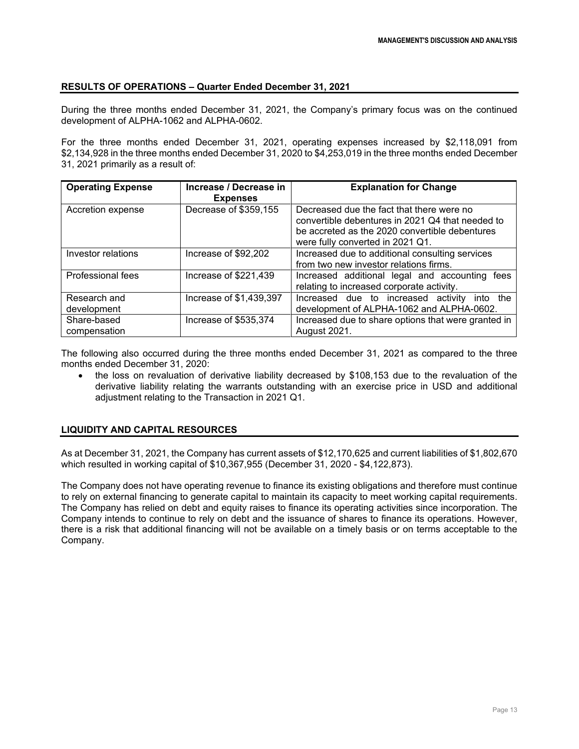### **RESULTS OF OPERATIONS – Quarter Ended December 31, 2021**

During the three months ended December 31, 2021, the Company's primary focus was on the continued development of ALPHA-1062 and ALPHA-0602.

For the three months ended December 31, 2021, operating expenses increased by \$2,118,091 from \$2,134,928 in the three months ended December 31, 2020 to \$4,253,019 in the three months ended December 31, 2021 primarily as a result of:

| <b>Operating Expense</b>    | Increase / Decrease in<br><b>Expenses</b> | <b>Explanation for Change</b>                                                                                                                                                       |
|-----------------------------|-------------------------------------------|-------------------------------------------------------------------------------------------------------------------------------------------------------------------------------------|
| Accretion expense           | Decrease of \$359,155                     | Decreased due the fact that there were no<br>convertible debentures in 2021 Q4 that needed to<br>be accreted as the 2020 convertible debentures<br>were fully converted in 2021 Q1. |
| Investor relations          | Increase of \$92,202                      | Increased due to additional consulting services<br>from two new investor relations firms.                                                                                           |
| <b>Professional fees</b>    | Increase of \$221,439                     | Increased additional legal and accounting<br>fees<br>relating to increased corporate activity.                                                                                      |
| Research and<br>development | Increase of \$1,439,397                   | Increased due to increased activity<br>into the<br>development of ALPHA-1062 and ALPHA-0602.                                                                                        |
| Share-based<br>compensation | Increase of \$535,374                     | Increased due to share options that were granted in<br>August 2021.                                                                                                                 |

The following also occurred during the three months ended December 31, 2021 as compared to the three months ended December 31, 2020:

• the loss on revaluation of derivative liability decreased by \$108,153 due to the revaluation of the derivative liability relating the warrants outstanding with an exercise price in USD and additional adjustment relating to the Transaction in 2021 Q1.

# **LIQUIDITY AND CAPITAL RESOURCES**

As at December 31, 2021, the Company has current assets of \$12,170,625 and current liabilities of \$1,802,670 which resulted in working capital of \$10,367,955 (December 31, 2020 - \$4,122,873).

The Company does not have operating revenue to finance its existing obligations and therefore must continue to rely on external financing to generate capital to maintain its capacity to meet working capital requirements. The Company has relied on debt and equity raises to finance its operating activities since incorporation. The Company intends to continue to rely on debt and the issuance of shares to finance its operations. However, there is a risk that additional financing will not be available on a timely basis or on terms acceptable to the Company.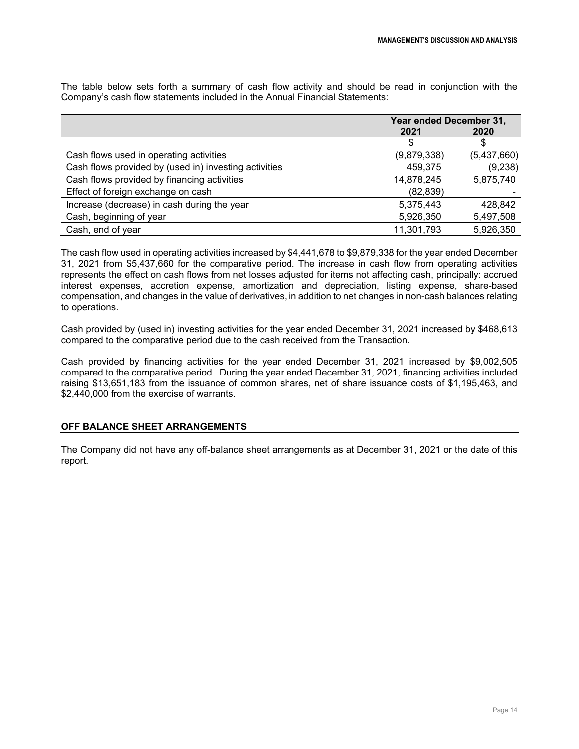The table below sets forth a summary of cash flow activity and should be read in conjunction with the Company's cash flow statements included in the Annual Financial Statements:

|                                                       | Year ended December 31, |             |
|-------------------------------------------------------|-------------------------|-------------|
|                                                       | 2021                    | 2020        |
|                                                       | S                       | S           |
| Cash flows used in operating activities               | (9,879,338)             | (5,437,660) |
| Cash flows provided by (used in) investing activities | 459,375                 | (9,238)     |
| Cash flows provided by financing activities           | 14,878,245              | 5,875,740   |
| Effect of foreign exchange on cash                    | (82, 839)               |             |
| Increase (decrease) in cash during the year           | 5,375,443               | 428.842     |
| Cash, beginning of year                               | 5,926,350               | 5,497,508   |
| Cash, end of year                                     | 11,301,793              | 5,926,350   |

The cash flow used in operating activities increased by \$4,441,678 to \$9,879,338 for the year ended December 31, 2021 from \$5,437,660 for the comparative period. The increase in cash flow from operating activities represents the effect on cash flows from net losses adjusted for items not affecting cash, principally: accrued interest expenses, accretion expense, amortization and depreciation, listing expense, share-based compensation, and changes in the value of derivatives, in addition to net changes in non-cash balances relating to operations.

Cash provided by (used in) investing activities for the year ended December 31, 2021 increased by \$468,613 compared to the comparative period due to the cash received from the Transaction.

Cash provided by financing activities for the year ended December 31, 2021 increased by \$9,002,505 compared to the comparative period. During the year ended December 31, 2021, financing activities included raising \$13,651,183 from the issuance of common shares, net of share issuance costs of \$1,195,463, and \$2,440,000 from the exercise of warrants.

### **OFF BALANCE SHEET ARRANGEMENTS**

The Company did not have any off-balance sheet arrangements as at December 31, 2021 or the date of this report.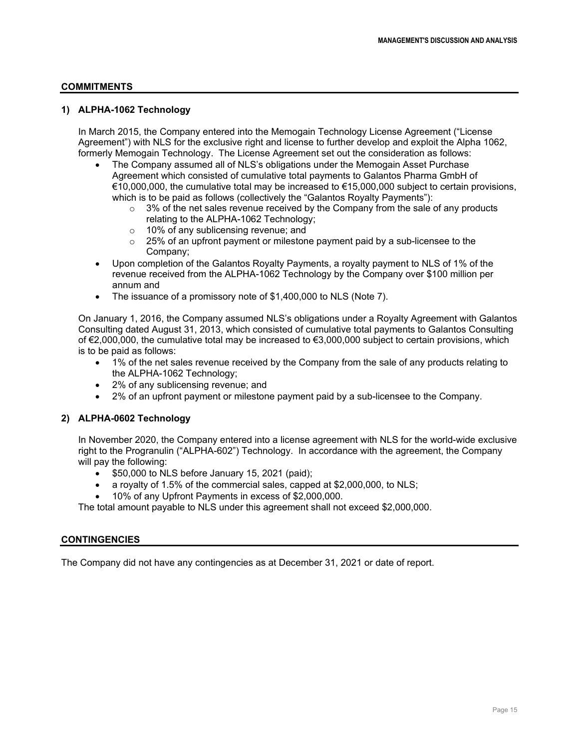### **COMMITMENTS**

### **1) ALPHA-1062 Technology**

In March 2015, the Company entered into the Memogain Technology License Agreement ("License Agreement") with NLS for the exclusive right and license to further develop and exploit the Alpha 1062, formerly Memogain Technology. The License Agreement set out the consideration as follows:

- The Company assumed all of NLS's obligations under the Memogain Asset Purchase Agreement which consisted of cumulative total payments to Galantos Pharma GmbH of €10,000,000, the cumulative total may be increased to €15,000,000 subject to certain provisions, which is to be paid as follows (collectively the "Galantos Royalty Payments"):
	- $\circ$  3% of the net sales revenue received by the Company from the sale of any products relating to the ALPHA-1062 Technology;
	- o 10% of any sublicensing revenue; and
	- $\circ$  25% of an upfront payment or milestone payment paid by a sub-licensee to the Company;
- Upon completion of the Galantos Royalty Payments, a royalty payment to NLS of 1% of the revenue received from the ALPHA-1062 Technology by the Company over \$100 million per annum and
- The issuance of a promissory note of \$1,400,000 to NLS (Note 7).

On January 1, 2016, the Company assumed NLS's obligations under a Royalty Agreement with Galantos Consulting dated August 31, 2013, which consisted of cumulative total payments to Galantos Consulting of €2,000,000, the cumulative total may be increased to €3,000,000 subject to certain provisions, which is to be paid as follows:

- 1% of the net sales revenue received by the Company from the sale of any products relating to the ALPHA-1062 Technology;
- 2% of any sublicensing revenue; and
- 2% of an upfront payment or milestone payment paid by a sub-licensee to the Company.

# **2) ALPHA-0602 Technology**

In November 2020, the Company entered into a license agreement with NLS for the world-wide exclusive right to the Progranulin ("ALPHA-602") Technology. In accordance with the agreement, the Company will pay the following:

- \$50,000 to NLS before January 15, 2021 (paid);
- a royalty of 1.5% of the commercial sales, capped at \$2,000,000, to NLS;
- 10% of any Upfront Payments in excess of \$2,000,000.

The total amount payable to NLS under this agreement shall not exceed \$2,000,000.

### **CONTINGENCIES**

The Company did not have any contingencies as at December 31, 2021 or date of report.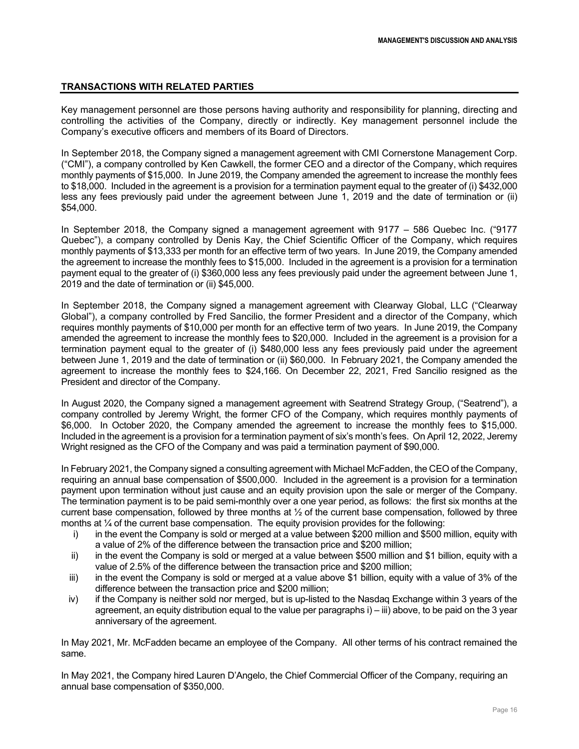### **TRANSACTIONS WITH RELATED PARTIES**

Key management personnel are those persons having authority and responsibility for planning, directing and controlling the activities of the Company, directly or indirectly. Key management personnel include the Company's executive officers and members of its Board of Directors.

In September 2018, the Company signed a management agreement with CMI Cornerstone Management Corp. ("CMI"), a company controlled by Ken Cawkell, the former CEO and a director of the Company, which requires monthly payments of \$15,000. In June 2019, the Company amended the agreement to increase the monthly fees to \$18,000. Included in the agreement is a provision for a termination payment equal to the greater of (i) \$432,000 less any fees previously paid under the agreement between June 1, 2019 and the date of termination or (ii) \$54,000.

In September 2018, the Company signed a management agreement with 9177 – 586 Quebec Inc. ("9177 Quebec"), a company controlled by Denis Kay, the Chief Scientific Officer of the Company, which requires monthly payments of \$13,333 per month for an effective term of two years. In June 2019, the Company amended the agreement to increase the monthly fees to \$15,000. Included in the agreement is a provision for a termination payment equal to the greater of (i) \$360,000 less any fees previously paid under the agreement between June 1, 2019 and the date of termination or (ii) \$45,000.

In September 2018, the Company signed a management agreement with Clearway Global, LLC ("Clearway Global"), a company controlled by Fred Sancilio, the former President and a director of the Company, which requires monthly payments of \$10,000 per month for an effective term of two years. In June 2019, the Company amended the agreement to increase the monthly fees to \$20,000. Included in the agreement is a provision for a termination payment equal to the greater of (i) \$480,000 less any fees previously paid under the agreement between June 1, 2019 and the date of termination or (ii) \$60,000. In February 2021, the Company amended the agreement to increase the monthly fees to \$24,166. On December 22, 2021, Fred Sancilio resigned as the President and director of the Company.

In August 2020, the Company signed a management agreement with Seatrend Strategy Group, ("Seatrend"), a company controlled by Jeremy Wright, the former CFO of the Company, which requires monthly payments of \$6,000. In October 2020, the Company amended the agreement to increase the monthly fees to \$15,000. Included in the agreement is a provision for a termination payment of six's month's fees. On April 12, 2022, Jeremy Wright resigned as the CFO of the Company and was paid a termination payment of \$90,000.

In February 2021, the Company signed a consulting agreement with Michael McFadden, the CEO of the Company, requiring an annual base compensation of \$500,000. Included in the agreement is a provision for a termination payment upon termination without just cause and an equity provision upon the sale or merger of the Company. The termination payment is to be paid semi-monthly over a one year period, as follows: the first six months at the current base compensation, followed by three months at ½ of the current base compensation, followed by three months at ¼ of the current base compensation. The equity provision provides for the following:

- i) in the event the Company is sold or merged at a value between \$200 million and \$500 million, equity with a value of 2% of the difference between the transaction price and \$200 million;
- ii) in the event the Company is sold or merged at a value between \$500 million and \$1 billion, equity with a value of 2.5% of the difference between the transaction price and \$200 million;
- iii) in the event the Company is sold or merged at a value above \$1 billion, equity with a value of 3% of the difference between the transaction price and \$200 million;
- iv) if the Company is neither sold nor merged, but is up-listed to the Nasdaq Exchange within 3 years of the agreement, an equity distribution equal to the value per paragraphs i) – iii) above, to be paid on the 3 year anniversary of the agreement.

In May 2021, Mr. McFadden became an employee of the Company. All other terms of his contract remained the same.

In May 2021, the Company hired Lauren D'Angelo, the Chief Commercial Officer of the Company, requiring an annual base compensation of \$350,000.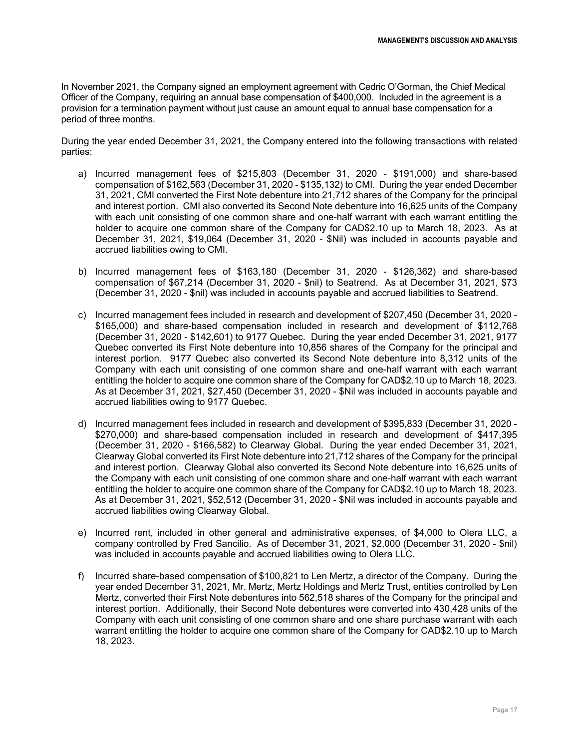In November 2021, the Company signed an employment agreement with Cedric O'Gorman, the Chief Medical Officer of the Company, requiring an annual base compensation of \$400,000. Included in the agreement is a provision for a termination payment without just cause an amount equal to annual base compensation for a period of three months.

During the year ended December 31, 2021, the Company entered into the following transactions with related parties:

- a) Incurred management fees of \$215,803 (December 31, 2020 \$191,000) and share-based compensation of \$162,563 (December 31, 2020 - \$135,132) to CMI. During the year ended December 31, 2021, CMI converted the First Note debenture into 21,712 shares of the Company for the principal and interest portion. CMI also converted its Second Note debenture into 16,625 units of the Company with each unit consisting of one common share and one-half warrant with each warrant entitling the holder to acquire one common share of the Company for CAD\$2.10 up to March 18, 2023. As at December 31, 2021, \$19,064 (December 31, 2020 - \$Nil) was included in accounts payable and accrued liabilities owing to CMI.
- b) Incurred management fees of \$163,180 (December 31, 2020 \$126,362) and share-based compensation of \$67,214 (December 31, 2020 - \$nil) to Seatrend. As at December 31, 2021, \$73 (December 31, 2020 - \$nil) was included in accounts payable and accrued liabilities to Seatrend.
- c) Incurred management fees included in research and development of \$207,450 (December 31, 2020 \$165,000) and share-based compensation included in research and development of \$112,768 (December 31, 2020 - \$142,601) to 9177 Quebec. During the year ended December 31, 2021, 9177 Quebec converted its First Note debenture into 10,856 shares of the Company for the principal and interest portion. 9177 Quebec also converted its Second Note debenture into 8,312 units of the Company with each unit consisting of one common share and one-half warrant with each warrant entitling the holder to acquire one common share of the Company for CAD\$2.10 up to March 18, 2023. As at December 31, 2021, \$27,450 (December 31, 2020 - \$Nil was included in accounts payable and accrued liabilities owing to 9177 Quebec.
- d) Incurred management fees included in research and development of \$395,833 (December 31, 2020 \$270,000) and share-based compensation included in research and development of \$417,395 (December 31, 2020 - \$166,582) to Clearway Global. During the year ended December 31, 2021, Clearway Global converted its First Note debenture into 21,712 shares of the Company for the principal and interest portion. Clearway Global also converted its Second Note debenture into 16,625 units of the Company with each unit consisting of one common share and one-half warrant with each warrant entitling the holder to acquire one common share of the Company for CAD\$2.10 up to March 18, 2023. As at December 31, 2021, \$52,512 (December 31, 2020 - \$Nil was included in accounts payable and accrued liabilities owing Clearway Global.
- e) Incurred rent, included in other general and administrative expenses, of \$4,000 to Olera LLC, a company controlled by Fred Sancilio. As of December 31, 2021, \$2,000 (December 31, 2020 - \$nil) was included in accounts payable and accrued liabilities owing to Olera LLC.
- f) Incurred share-based compensation of \$100,821 to Len Mertz, a director of the Company. During the year ended December 31, 2021, Mr. Mertz, Mertz Holdings and Mertz Trust, entities controlled by Len Mertz, converted their First Note debentures into 562,518 shares of the Company for the principal and interest portion. Additionally, their Second Note debentures were converted into 430,428 units of the Company with each unit consisting of one common share and one share purchase warrant with each warrant entitling the holder to acquire one common share of the Company for CAD\$2.10 up to March 18, 2023.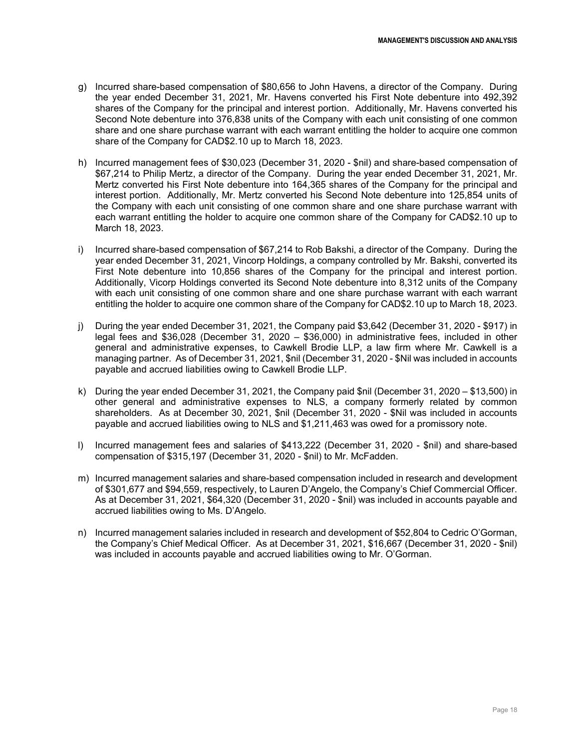- g) Incurred share-based compensation of \$80,656 to John Havens, a director of the Company. During the year ended December 31, 2021, Mr. Havens converted his First Note debenture into 492,392 shares of the Company for the principal and interest portion. Additionally, Mr. Havens converted his Second Note debenture into 376,838 units of the Company with each unit consisting of one common share and one share purchase warrant with each warrant entitling the holder to acquire one common share of the Company for CAD\$2.10 up to March 18, 2023.
- h) Incurred management fees of \$30,023 (December 31, 2020 \$nil) and share-based compensation of \$67,214 to Philip Mertz, a director of the Company. During the year ended December 31, 2021, Mr. Mertz converted his First Note debenture into 164,365 shares of the Company for the principal and interest portion. Additionally, Mr. Mertz converted his Second Note debenture into 125,854 units of the Company with each unit consisting of one common share and one share purchase warrant with each warrant entitling the holder to acquire one common share of the Company for CAD\$2.10 up to March 18, 2023.
- i) Incurred share-based compensation of \$67,214 to Rob Bakshi, a director of the Company. During the year ended December 31, 2021, Vincorp Holdings, a company controlled by Mr. Bakshi, converted its First Note debenture into 10,856 shares of the Company for the principal and interest portion. Additionally, Vicorp Holdings converted its Second Note debenture into 8,312 units of the Company with each unit consisting of one common share and one share purchase warrant with each warrant entitling the holder to acquire one common share of the Company for CAD\$2.10 up to March 18, 2023.
- j) During the year ended December 31, 2021, the Company paid \$3,642 (December 31, 2020 \$917) in legal fees and \$36,028 (December 31, 2020 – \$36,000) in administrative fees, included in other general and administrative expenses, to Cawkell Brodie LLP, a law firm where Mr. Cawkell is a managing partner. As of December 31, 2021, \$nil (December 31, 2020 - \$Nil was included in accounts payable and accrued liabilities owing to Cawkell Brodie LLP.
- k) During the year ended December 31, 2021, the Company paid \$nil (December 31, 2020 \$13,500) in other general and administrative expenses to NLS, a company formerly related by common shareholders. As at December 30, 2021, \$nil (December 31, 2020 - \$Nil was included in accounts payable and accrued liabilities owing to NLS and \$1,211,463 was owed for a promissory note.
- l) Incurred management fees and salaries of \$413,222 (December 31, 2020 \$nil) and share-based compensation of \$315,197 (December 31, 2020 - \$nil) to Mr. McFadden.
- m) Incurred management salaries and share-based compensation included in research and development of \$301,677 and \$94,559, respectively, to Lauren D'Angelo, the Company's Chief Commercial Officer. As at December 31, 2021, \$64,320 (December 31, 2020 - \$nil) was included in accounts payable and accrued liabilities owing to Ms. D'Angelo.
- n) Incurred management salaries included in research and development of \$52,804 to Cedric O'Gorman, the Company's Chief Medical Officer. As at December 31, 2021, \$16,667 (December 31, 2020 - \$nil) was included in accounts payable and accrued liabilities owing to Mr. O'Gorman.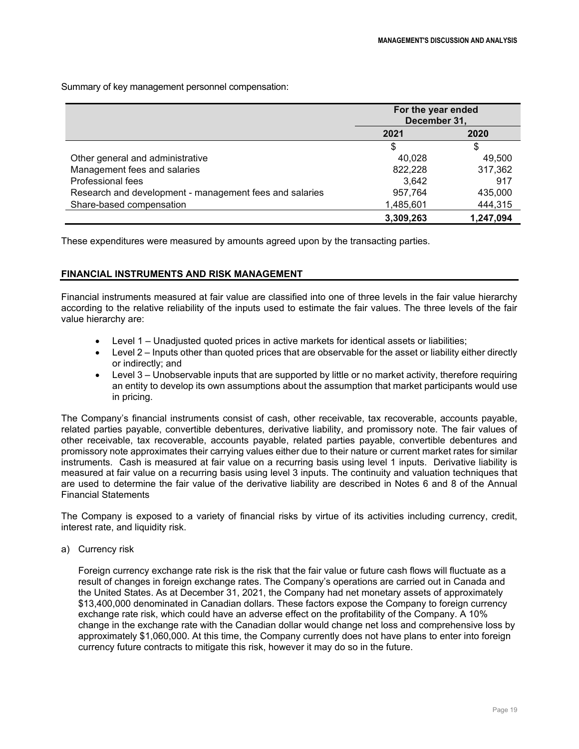Summary of key management personnel compensation:

|                                                         | For the year ended<br>December 31, |           |
|---------------------------------------------------------|------------------------------------|-----------|
|                                                         | 2021<br>2020                       |           |
|                                                         |                                    |           |
| Other general and administrative                        | 40.028                             | 49,500    |
| Management fees and salaries                            | 822,228                            | 317,362   |
| Professional fees                                       | 3,642                              | 917       |
| Research and development - management fees and salaries | 957,764                            | 435,000   |
| Share-based compensation                                | 1,485,601                          | 444,315   |
|                                                         | 3,309,263                          | 1,247,094 |

These expenditures were measured by amounts agreed upon by the transacting parties.

### **FINANCIAL INSTRUMENTS AND RISK MANAGEMENT**

Financial instruments measured at fair value are classified into one of three levels in the fair value hierarchy according to the relative reliability of the inputs used to estimate the fair values. The three levels of the fair value hierarchy are:

- Level 1 Unadjusted quoted prices in active markets for identical assets or liabilities;
- Level 2 Inputs other than quoted prices that are observable for the asset or liability either directly or indirectly; and
- Level 3 Unobservable inputs that are supported by little or no market activity, therefore requiring an entity to develop its own assumptions about the assumption that market participants would use in pricing.

The Company's financial instruments consist of cash, other receivable, tax recoverable, accounts payable, related parties payable, convertible debentures, derivative liability, and promissory note. The fair values of other receivable, tax recoverable, accounts payable, related parties payable, convertible debentures and promissory note approximates their carrying values either due to their nature or current market rates for similar instruments. Cash is measured at fair value on a recurring basis using level 1 inputs. Derivative liability is measured at fair value on a recurring basis using level 3 inputs. The continuity and valuation techniques that are used to determine the fair value of the derivative liability are described in Notes 6 and 8 of the Annual Financial Statements

The Company is exposed to a variety of financial risks by virtue of its activities including currency, credit, interest rate, and liquidity risk.

a) Currency risk

Foreign currency exchange rate risk is the risk that the fair value or future cash flows will fluctuate as a result of changes in foreign exchange rates. The Company's operations are carried out in Canada and the United States. As at December 31, 2021, the Company had net monetary assets of approximately \$13,400,000 denominated in Canadian dollars. These factors expose the Company to foreign currency exchange rate risk, which could have an adverse effect on the profitability of the Company. A 10% change in the exchange rate with the Canadian dollar would change net loss and comprehensive loss by approximately \$1,060,000. At this time, the Company currently does not have plans to enter into foreign currency future contracts to mitigate this risk, however it may do so in the future.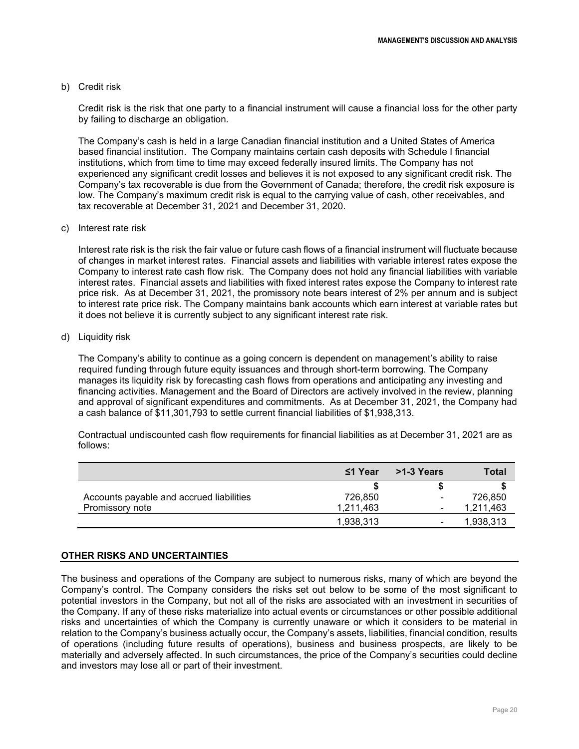#### b) Credit risk

Credit risk is the risk that one party to a financial instrument will cause a financial loss for the other party by failing to discharge an obligation.

The Company's cash is held in a large Canadian financial institution and a United States of America based financial institution. The Company maintains certain cash deposits with Schedule I financial institutions, which from time to time may exceed federally insured limits. The Company has not experienced any significant credit losses and believes it is not exposed to any significant credit risk. The Company's tax recoverable is due from the Government of Canada; therefore, the credit risk exposure is low. The Company's maximum credit risk is equal to the carrying value of cash, other receivables, and tax recoverable at December 31, 2021 and December 31, 2020.

#### c) Interest rate risk

Interest rate risk is the risk the fair value or future cash flows of a financial instrument will fluctuate because of changes in market interest rates. Financial assets and liabilities with variable interest rates expose the Company to interest rate cash flow risk. The Company does not hold any financial liabilities with variable interest rates. Financial assets and liabilities with fixed interest rates expose the Company to interest rate price risk. As at December 31, 2021, the promissory note bears interest of 2% per annum and is subject to interest rate price risk. The Company maintains bank accounts which earn interest at variable rates but it does not believe it is currently subject to any significant interest rate risk.

#### d) Liquidity risk

The Company's ability to continue as a going concern is dependent on management's ability to raise required funding through future equity issuances and through short-term borrowing. The Company manages its liquidity risk by forecasting cash flows from operations and anticipating any investing and financing activities. Management and the Board of Directors are actively involved in the review, planning and approval of significant expenditures and commitments. As at December 31, 2021, the Company had a cash balance of \$11,301,793 to settle current financial liabilities of \$1,938,313.

Contractual undiscounted cash flow requirements for financial liabilities as at December 31, 2021 are as follows:

|                                          | $\leq$ 1 Year | >1-3 Years | <b>Total</b> |
|------------------------------------------|---------------|------------|--------------|
|                                          |               |            |              |
| Accounts payable and accrued liabilities | 726,850       | ۰          | 726,850      |
| Promissory note                          | 1,211,463     | ۰          | 1,211,463    |
|                                          | 1.938.313     |            | 1,938,313    |

#### **OTHER RISKS AND UNCERTAINTIES**

The business and operations of the Company are subject to numerous risks, many of which are beyond the Company's control. The Company considers the risks set out below to be some of the most significant to potential investors in the Company, but not all of the risks are associated with an investment in securities of the Company. If any of these risks materialize into actual events or circumstances or other possible additional risks and uncertainties of which the Company is currently unaware or which it considers to be material in relation to the Company's business actually occur, the Company's assets, liabilities, financial condition, results of operations (including future results of operations), business and business prospects, are likely to be materially and adversely affected. In such circumstances, the price of the Company's securities could decline and investors may lose all or part of their investment.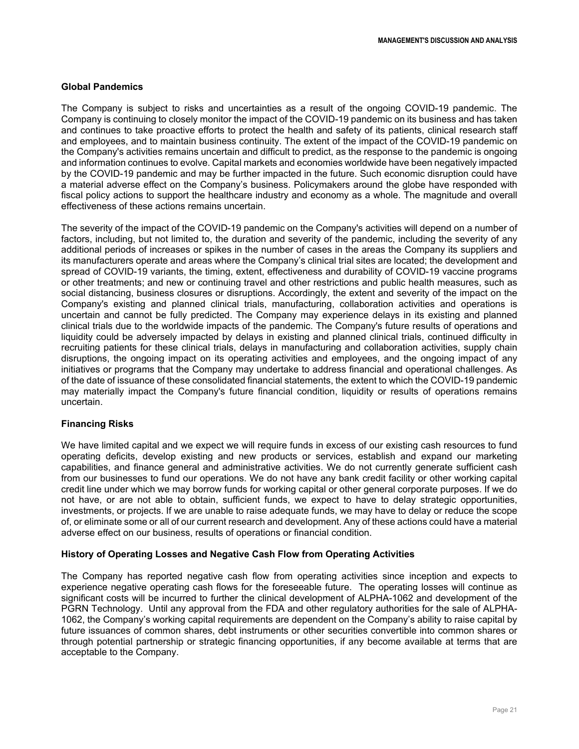#### **Global Pandemics**

The Company is subject to risks and uncertainties as a result of the ongoing COVID-19 pandemic. The Company is continuing to closely monitor the impact of the COVID-19 pandemic on its business and has taken and continues to take proactive efforts to protect the health and safety of its patients, clinical research staff and employees, and to maintain business continuity. The extent of the impact of the COVID-19 pandemic on the Company's activities remains uncertain and difficult to predict, as the response to the pandemic is ongoing and information continues to evolve. Capital markets and economies worldwide have been negatively impacted by the COVID-19 pandemic and may be further impacted in the future. Such economic disruption could have a material adverse effect on the Company's business. Policymakers around the globe have responded with fiscal policy actions to support the healthcare industry and economy as a whole. The magnitude and overall effectiveness of these actions remains uncertain.

The severity of the impact of the COVID-19 pandemic on the Company's activities will depend on a number of factors, including, but not limited to, the duration and severity of the pandemic, including the severity of any additional periods of increases or spikes in the number of cases in the areas the Company its suppliers and its manufacturers operate and areas where the Company's clinical trial sites are located; the development and spread of COVID-19 variants, the timing, extent, effectiveness and durability of COVID-19 vaccine programs or other treatments; and new or continuing travel and other restrictions and public health measures, such as social distancing, business closures or disruptions. Accordingly, the extent and severity of the impact on the Company's existing and planned clinical trials, manufacturing, collaboration activities and operations is uncertain and cannot be fully predicted. The Company may experience delays in its existing and planned clinical trials due to the worldwide impacts of the pandemic. The Company's future results of operations and liquidity could be adversely impacted by delays in existing and planned clinical trials, continued difficulty in recruiting patients for these clinical trials, delays in manufacturing and collaboration activities, supply chain disruptions, the ongoing impact on its operating activities and employees, and the ongoing impact of any initiatives or programs that the Company may undertake to address financial and operational challenges. As of the date of issuance of these consolidated financial statements, the extent to which the COVID-19 pandemic may materially impact the Company's future financial condition, liquidity or results of operations remains uncertain.

### **Financing Risks**

We have limited capital and we expect we will require funds in excess of our existing cash resources to fund operating deficits, develop existing and new products or services, establish and expand our marketing capabilities, and finance general and administrative activities. We do not currently generate sufficient cash from our businesses to fund our operations. We do not have any bank credit facility or other working capital credit line under which we may borrow funds for working capital or other general corporate purposes. If we do not have, or are not able to obtain, sufficient funds, we expect to have to delay strategic opportunities, investments, or projects. If we are unable to raise adequate funds, we may have to delay or reduce the scope of, or eliminate some or all of our current research and development. Any of these actions could have a material adverse effect on our business, results of operations or financial condition.

#### **History of Operating Losses and Negative Cash Flow from Operating Activities**

The Company has reported negative cash flow from operating activities since inception and expects to experience negative operating cash flows for the foreseeable future. The operating losses will continue as significant costs will be incurred to further the clinical development of ALPHA-1062 and development of the PGRN Technology. Until any approval from the FDA and other regulatory authorities for the sale of ALPHA-1062, the Company's working capital requirements are dependent on the Company's ability to raise capital by future issuances of common shares, debt instruments or other securities convertible into common shares or through potential partnership or strategic financing opportunities, if any become available at terms that are acceptable to the Company.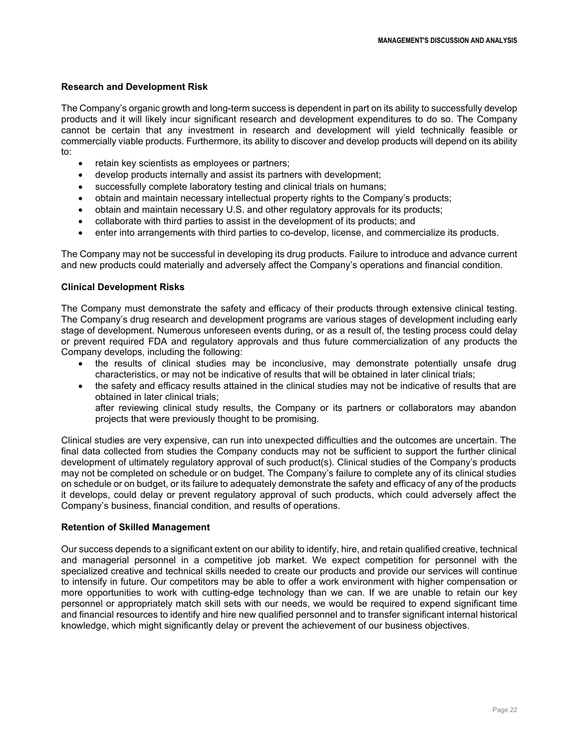### **Research and Development Risk**

The Company's organic growth and long-term success is dependent in part on its ability to successfully develop products and it will likely incur significant research and development expenditures to do so. The Company cannot be certain that any investment in research and development will yield technically feasible or commercially viable products. Furthermore, its ability to discover and develop products will depend on its ability to:

- retain key scientists as employees or partners;
- develop products internally and assist its partners with development;
- successfully complete laboratory testing and clinical trials on humans;
- obtain and maintain necessary intellectual property rights to the Company's products;
- obtain and maintain necessary U.S. and other regulatory approvals for its products;
- collaborate with third parties to assist in the development of its products; and
- enter into arrangements with third parties to co-develop, license, and commercialize its products.

The Company may not be successful in developing its drug products. Failure to introduce and advance current and new products could materially and adversely affect the Company's operations and financial condition.

### **Clinical Development Risks**

The Company must demonstrate the safety and efficacy of their products through extensive clinical testing. The Company's drug research and development programs are various stages of development including early stage of development. Numerous unforeseen events during, or as a result of, the testing process could delay or prevent required FDA and regulatory approvals and thus future commercialization of any products the Company develops, including the following:

- the results of clinical studies may be inconclusive, may demonstrate potentially unsafe drug characteristics, or may not be indicative of results that will be obtained in later clinical trials;
- the safety and efficacy results attained in the clinical studies may not be indicative of results that are obtained in later clinical trials;

after reviewing clinical study results, the Company or its partners or collaborators may abandon projects that were previously thought to be promising.

Clinical studies are very expensive, can run into unexpected difficulties and the outcomes are uncertain. The final data collected from studies the Company conducts may not be sufficient to support the further clinical development of ultimately regulatory approval of such product(s). Clinical studies of the Company's products may not be completed on schedule or on budget. The Company's failure to complete any of its clinical studies on schedule or on budget, or its failure to adequately demonstrate the safety and efficacy of any of the products it develops, could delay or prevent regulatory approval of such products, which could adversely affect the Company's business, financial condition, and results of operations.

### **Retention of Skilled Management**

Our success depends to a significant extent on our ability to identify, hire, and retain qualified creative, technical and managerial personnel in a competitive job market. We expect competition for personnel with the specialized creative and technical skills needed to create our products and provide our services will continue to intensify in future. Our competitors may be able to offer a work environment with higher compensation or more opportunities to work with cutting-edge technology than we can. If we are unable to retain our key personnel or appropriately match skill sets with our needs, we would be required to expend significant time and financial resources to identify and hire new qualified personnel and to transfer significant internal historical knowledge, which might significantly delay or prevent the achievement of our business objectives.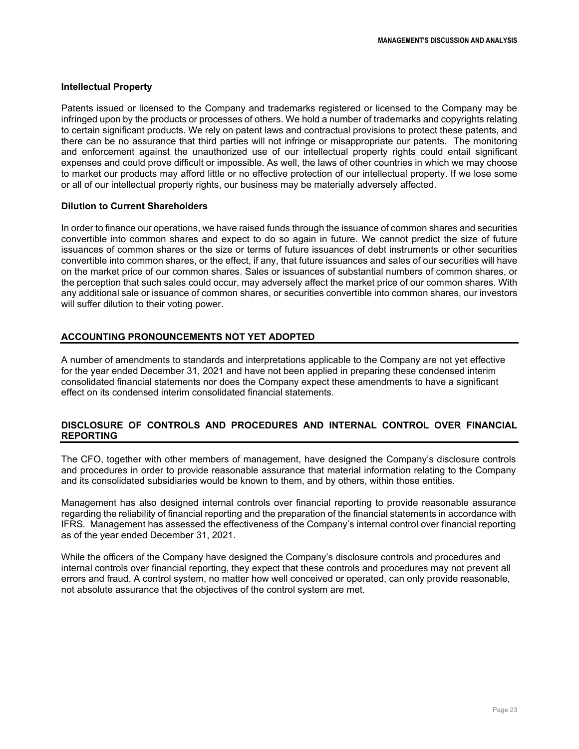#### **Intellectual Property**

Patents issued or licensed to the Company and trademarks registered or licensed to the Company may be infringed upon by the products or processes of others. We hold a number of trademarks and copyrights relating to certain significant products. We rely on patent laws and contractual provisions to protect these patents, and there can be no assurance that third parties will not infringe or misappropriate our patents. The monitoring and enforcement against the unauthorized use of our intellectual property rights could entail significant expenses and could prove difficult or impossible. As well, the laws of other countries in which we may choose to market our products may afford little or no effective protection of our intellectual property. If we lose some or all of our intellectual property rights, our business may be materially adversely affected.

#### **Dilution to Current Shareholders**

In order to finance our operations, we have raised funds through the issuance of common shares and securities convertible into common shares and expect to do so again in future. We cannot predict the size of future issuances of common shares or the size or terms of future issuances of debt instruments or other securities convertible into common shares, or the effect, if any, that future issuances and sales of our securities will have on the market price of our common shares. Sales or issuances of substantial numbers of common shares, or the perception that such sales could occur, may adversely affect the market price of our common shares. With any additional sale or issuance of common shares, or securities convertible into common shares, our investors will suffer dilution to their voting power.

### **ACCOUNTING PRONOUNCEMENTS NOT YET ADOPTED**

A number of amendments to standards and interpretations applicable to the Company are not yet effective for the year ended December 31, 2021 and have not been applied in preparing these condensed interim consolidated financial statements nor does the Company expect these amendments to have a significant effect on its condensed interim consolidated financial statements.

### **DISCLOSURE OF CONTROLS AND PROCEDURES AND INTERNAL CONTROL OVER FINANCIAL REPORTING**

The CFO, together with other members of management, have designed the Company's disclosure controls and procedures in order to provide reasonable assurance that material information relating to the Company and its consolidated subsidiaries would be known to them, and by others, within those entities.

Management has also designed internal controls over financial reporting to provide reasonable assurance regarding the reliability of financial reporting and the preparation of the financial statements in accordance with IFRS. Management has assessed the effectiveness of the Company's internal control over financial reporting as of the year ended December 31, 2021.

While the officers of the Company have designed the Company's disclosure controls and procedures and internal controls over financial reporting, they expect that these controls and procedures may not prevent all errors and fraud. A control system, no matter how well conceived or operated, can only provide reasonable, not absolute assurance that the objectives of the control system are met.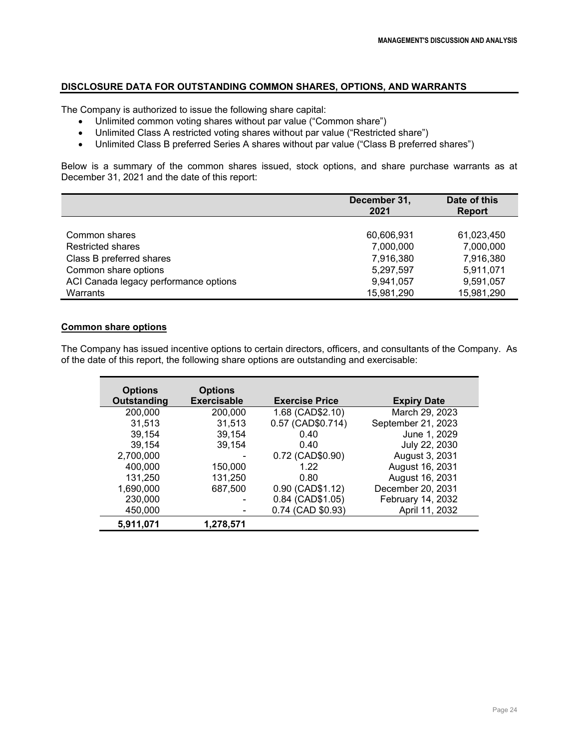# **DISCLOSURE DATA FOR OUTSTANDING COMMON SHARES, OPTIONS, AND WARRANTS**

The Company is authorized to issue the following share capital:

- Unlimited common voting shares without par value ("Common share")
- Unlimited Class A restricted voting shares without par value ("Restricted share")
- Unlimited Class B preferred Series A shares without par value ("Class B preferred shares")

Below is a summary of the common shares issued, stock options, and share purchase warrants as at December 31, 2021 and the date of this report:

|                                       | December 31,<br>2021 | Date of this<br><b>Report</b> |
|---------------------------------------|----------------------|-------------------------------|
|                                       |                      |                               |
| Common shares                         | 60,606,931           | 61,023,450                    |
| <b>Restricted shares</b>              | 7,000,000            | 7,000,000                     |
| Class B preferred shares              | 7,916,380            | 7,916,380                     |
| Common share options                  | 5,297,597            | 5,911,071                     |
| ACI Canada legacy performance options | 9,941,057            | 9,591,057                     |
| Warrants                              | 15,981,290           | 15,981,290                    |

# **Common share options**

The Company has issued incentive options to certain directors, officers, and consultants of the Company. As of the date of this report, the following share options are outstanding and exercisable:

| <b>Options</b><br>Outstanding | <b>Options</b><br><b>Exercisable</b> | <b>Exercise Price</b> | <b>Expiry Date</b> |
|-------------------------------|--------------------------------------|-----------------------|--------------------|
| 200,000                       | 200,000                              | 1.68 (CAD\$2.10)      | March 29, 2023     |
| 31,513                        | 31,513                               | 0.57 (CAD\$0.714)     | September 21, 2023 |
| 39,154                        | 39,154                               | 0.40                  | June 1, 2029       |
| 39,154                        | 39,154                               | 0.40                  | July 22, 2030      |
| 2,700,000                     |                                      | 0.72 (CAD\$0.90)      | August 3, 2031     |
| 400,000                       | 150,000                              | 1.22                  | August 16, 2031    |
| 131,250                       | 131,250                              | 0.80                  | August 16, 2031    |
| 1,690,000                     | 687,500                              | 0.90 (CAD\$1.12)      | December 20, 2031  |
| 230,000                       |                                      | 0.84 (CAD\$1.05)      | February 14, 2032  |
| 450,000                       |                                      | 0.74 (CAD \$0.93)     | April 11, 2032     |
| 5.911.071                     | 1,278,571                            |                       |                    |